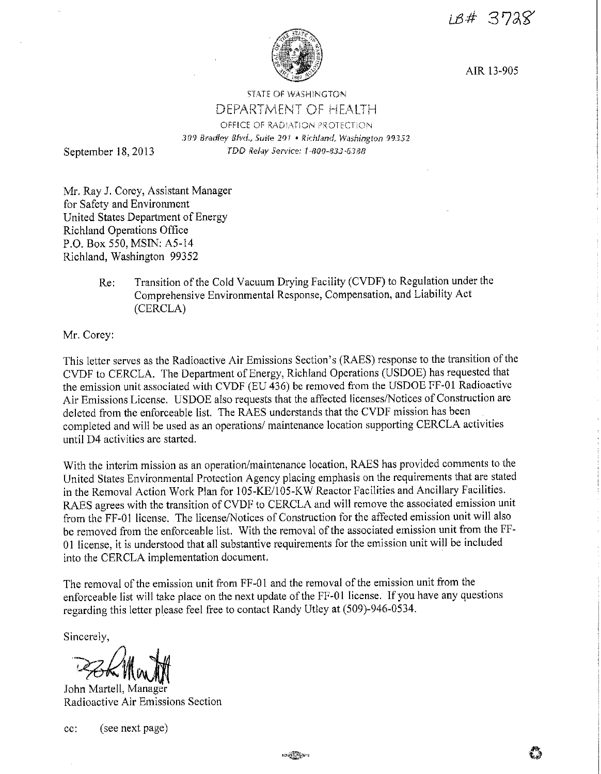18# 3728



AIR 13-905

## **STATE OF WASHINGTON** DEPARTMENT OF HEALTH OFFICE OF RADIATION PROTECTION 309 Bradley Blvd., Suite 201 • Richland, Washington 99352 TDD Relay Service: 1-800-833-6388

September 18, 2013

Mr. Ray J. Corey, Assistant Manager for Safety and Environment United States Department of Energy Richland Operations Office P.O. Box 550, MSIN: A5-14 Richland, Washington 99352

> Re: Transition of the Cold Vacuum Drying Facility (CVDF) to Regulation under the Comprehensive Environmental Response, Compensation, and Liability Act (CERCLA)

Mr. Corey:

This letter serves as the Radioactive Air Emissions Section's (RAES) response to the transition of the CVDF to CERCLA. The Department of Energy, Richland Operations (USDOE) has requested that the emission unit associated with CVDF (EU 436) be removed from the USDOE PP-01 Radioactive Air Emissions License. USDOE also requests that the affected licenses/Notices of Construction are deleted from the enforceable list. The RAES understands that the CVDF mission has been completed and will be used as an operations/ maintenance location supporting CERCLA activities until D4 activities are started.

With the interim mission as an operation/maintenance location, RAES has provided comments to the United States Environmental Protection Agency placing emphasis on the requirements that are stated in the Removal Action Work Plan for 105-KE/l 05-K W Reactor Facilities and Ancillary Facilities. RAES agrees with the transition of CVDF to CERCLA and will remove the associated emission unit from the FF-01 license. The license/Notices of Construction for the affected emission unit will also be removed from the enforceable list. With the removal of the associated emission unit from the FF-01 license, it is understood that all substantive requirements for the emission unit will be included into the CERCLA implementation document.

The removal of the emission unit from FF-01 and the removal of the emission unit from the enforceable list will take place on the next update of the FF-01 license. If you have any questions regarding this letter please feel free to contact Randy Utley at (509)-946-0534.

Sincerely,

 $PZKMwW$ 

John Martell, Manager Radioactive Air Emissions Section

cc: ( see next page)